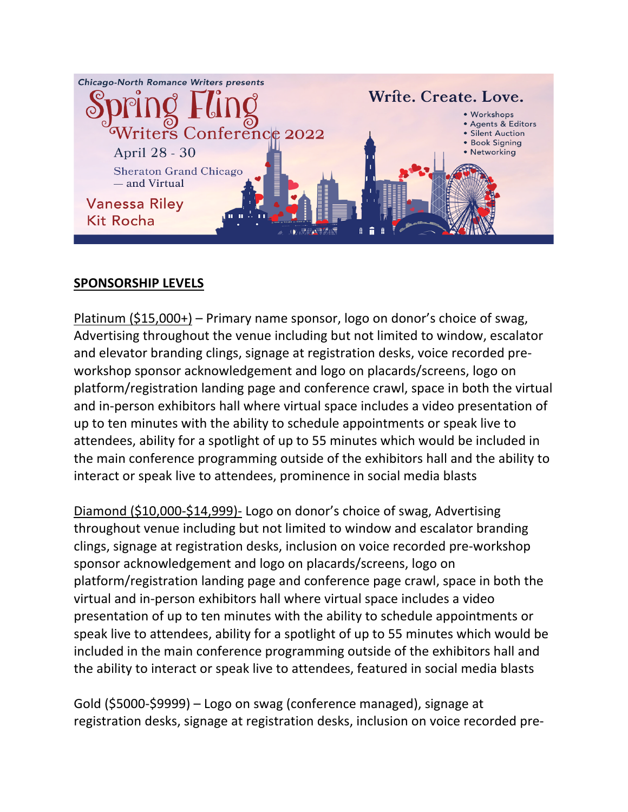

## **SPONSORSHIP LEVELS**

Platinum (\$15,000+) – Primary name sponsor, logo on donor's choice of swag, Advertising throughout the venue including but not limited to window, escalator and elevator branding clings, signage at registration desks, voice recorded preworkshop sponsor acknowledgement and logo on placards/screens, logo on platform/registration landing page and conference crawl, space in both the virtual and in-person exhibitors hall where virtual space includes a video presentation of up to ten minutes with the ability to schedule appointments or speak live to attendees, ability for a spotlight of up to 55 minutes which would be included in the main conference programming outside of the exhibitors hall and the ability to interact or speak live to attendees, prominence in social media blasts

Diamond (\$10,000-\$14,999)- Logo on donor's choice of swag, Advertising throughout venue including but not limited to window and escalator branding clings, signage at registration desks, inclusion on voice recorded pre-workshop sponsor acknowledgement and logo on placards/screens, logo on platform/registration landing page and conference page crawl, space in both the virtual and in-person exhibitors hall where virtual space includes a video presentation of up to ten minutes with the ability to schedule appointments or speak live to attendees, ability for a spotlight of up to 55 minutes which would be included in the main conference programming outside of the exhibitors hall and the ability to interact or speak live to attendees, featured in social media blasts

Gold (\$5000-\$9999) – Logo on swag (conference managed), signage at registration desks, signage at registration desks, inclusion on voice recorded pre-